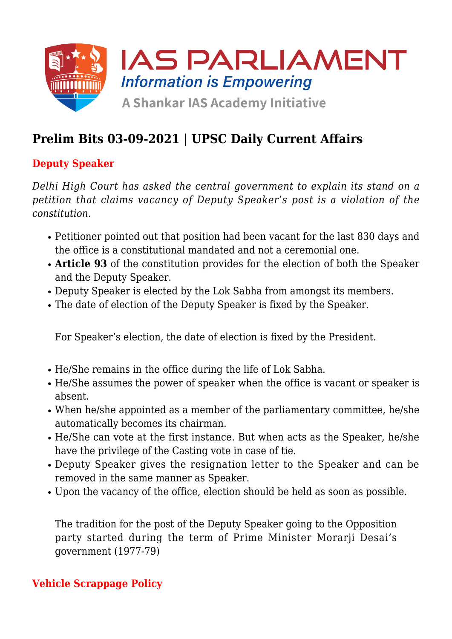

# **Prelim Bits 03-09-2021 | UPSC Daily Current Affairs**

### **Deputy Speaker**

*Delhi High Court has asked the central government to explain its stand on a petition that claims vacancy of Deputy Speaker's post is a violation of the constitution.*

- Petitioner pointed out that position had been vacant for the last 830 days and the office is a constitutional mandated and not a ceremonial one.
- **Article 93** of the constitution provides for the election of both the Speaker and the Deputy Speaker.
- Deputy Speaker is elected by the Lok Sabha from amongst its members.
- The date of election of the Deputy Speaker is fixed by the Speaker.

For Speaker's election, the date of election is fixed by the President.

- He/She remains in the office during the life of Lok Sabha.
- He/She assumes the power of speaker when the office is vacant or speaker is absent.
- When he/she appointed as a member of the parliamentary committee, he/she automatically becomes its chairman.
- He/She can vote at the first instance. But when acts as the Speaker, he/she have the privilege of the Casting vote in case of tie.
- Deputy Speaker gives the resignation letter to the Speaker and can be removed in the same manner as Speaker.
- Upon the vacancy of the office, election should be held as soon as possible.

The tradition for the post of the Deputy Speaker going to the Opposition party started during the term of Prime Minister Morarji Desai's government (1977-79)

## **Vehicle Scrappage Policy**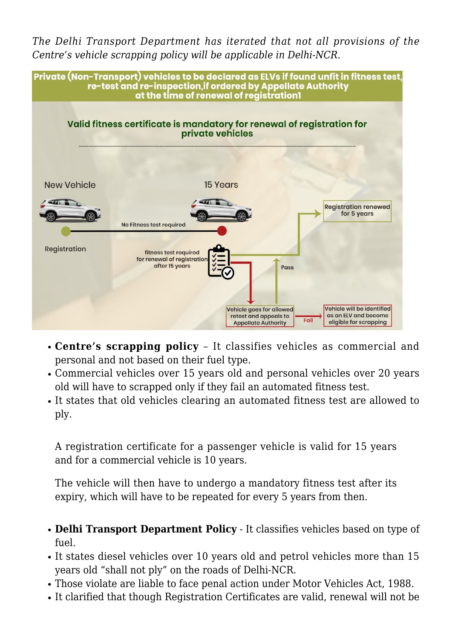*The Delhi Transport Department has iterated that not all provisions of the Centre's vehicle scrapping policy will be applicable in Delhi-NCR.*



- **Centre's scrapping policy** It classifies vehicles as commercial and personal and not based on their fuel type.
- Commercial vehicles over 15 years old and personal vehicles over 20 years old will have to scrapped only if they fail an automated fitness test.
- It states that old vehicles clearing an automated fitness test are allowed to ply.

A registration certificate for a passenger vehicle is valid for 15 years and for a commercial vehicle is 10 years.

The vehicle will then have to undergo a mandatory fitness test after its expiry, which will have to be repeated for every 5 years from then.

- **Delhi Transport Department Policy** It classifies vehicles based on type of fuel.
- It states diesel vehicles over 10 years old and petrol vehicles more than 15 years old "shall not ply" on the roads of Delhi-NCR.
- Those violate are liable to face penal action under Motor Vehicles Act, 1988.
- It clarified that though Registration Certificates are valid, renewal will not be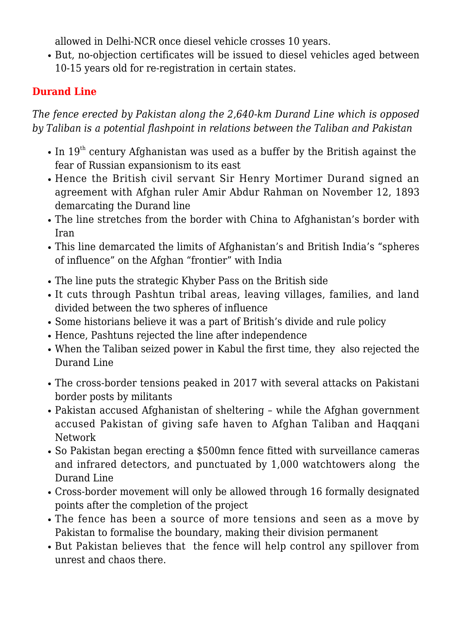allowed in Delhi-NCR once diesel vehicle crosses 10 years.

But, no-objection certificates will be issued to diesel vehicles aged between 10-15 years old for re-registration in certain states.

### **Durand Line**

*The fence erected by Pakistan along the 2,640-km Durand Line which is opposed by Taliban is a potential flashpoint in relations between the Taliban and Pakistan*

- $\bullet$  In  $19^{\text{th}}$  century Afghanistan was used as a buffer by the British against the fear of Russian expansionism to its east
- Hence the British civil servant Sir Henry Mortimer Durand signed an agreement with Afghan ruler Amir Abdur Rahman on November 12, 1893 demarcating the Durand line
- The line stretches from the border with China to Afghanistan's border with Iran
- This line demarcated the limits of Afghanistan's and British India's "spheres of influence" on the Afghan "frontier" with India
- The line puts the strategic Khyber Pass on the British side
- It cuts through Pashtun tribal areas, leaving villages, families, and land divided between the two spheres of influence
- Some historians believe it was a part of British's divide and rule policy
- Hence, Pashtuns rejected the line after independence
- When the Taliban seized power in Kabul the first time, they also rejected the Durand Line
- The cross-border tensions peaked in 2017 with several attacks on Pakistani border posts by militants
- Pakistan accused Afghanistan of sheltering while the Afghan government accused Pakistan of giving safe haven to Afghan Taliban and Haqqani Network
- So Pakistan began erecting a \$500mn fence fitted with surveillance cameras and infrared detectors, and punctuated by 1,000 watchtowers along the Durand Line
- Cross-border movement will only be allowed through 16 formally designated points after the completion of the project
- The fence has been a source of more tensions and seen as a move by Pakistan to formalise the boundary, making their division permanent
- But Pakistan believes that the fence will help control any spillover from unrest and chaos there.